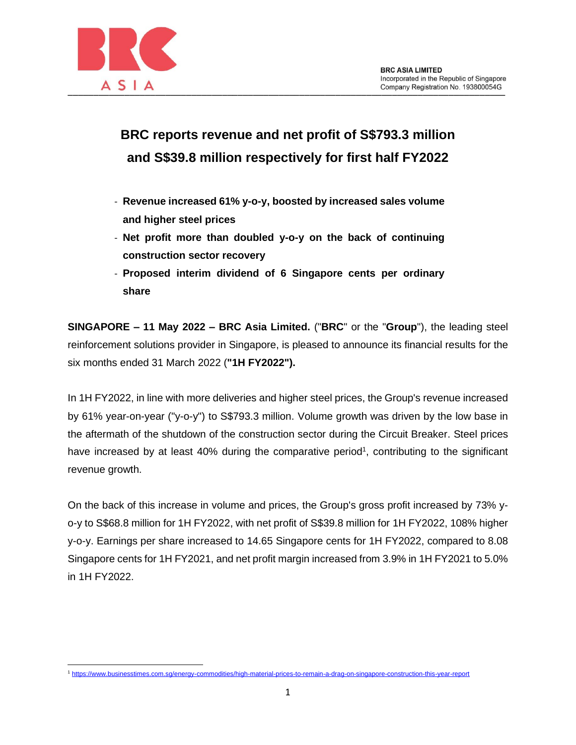

## **BRC reports revenue and net profit of S\$793.3 million and S\$39.8 million respectively for first half FY2022**

- **Revenue increased 61% y-o-y, boosted by increased sales volume and higher steel prices**
- **Net profit more than doubled y-o-y on the back of continuing construction sector recovery**
- **Proposed interim dividend of 6 Singapore cents per ordinary share**

**SINGAPORE – 11 May 2022 – BRC Asia Limited.** ("**BRC**" or the "**Group**"), the leading steel reinforcement solutions provider in Singapore, is pleased to announce its financial results for the six months ended 31 March 2022 (**"1H FY2022").**

In 1H FY2022, in line with more deliveries and higher steel prices, the Group's revenue increased by 61% year-on-year ("y-o-y") to S\$793.3 million. Volume growth was driven by the low base in the aftermath of the shutdown of the construction sector during the Circuit Breaker. Steel prices have increased by at least 40% during the comparative period<sup>1</sup>, contributing to the significant revenue growth.

On the back of this increase in volume and prices, the Group's gross profit increased by 73% yo-y to S\$68.8 million for 1H FY2022, with net profit of S\$39.8 million for 1H FY2022, 108% higher y-o-y. Earnings per share increased to 14.65 Singapore cents for 1H FY2022, compared to 8.08 Singapore cents for 1H FY2021, and net profit margin increased from 3.9% in 1H FY2021 to 5.0% in 1H FY2022.

<sup>1</sup> <https://www.businesstimes.com.sg/energy-commodities/high-material-prices-to-remain-a-drag-on-singapore-construction-this-year-report>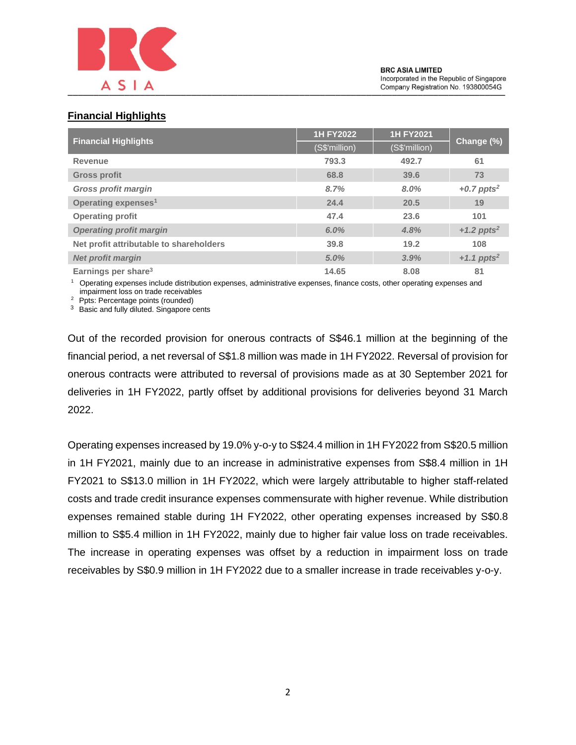

## **Financial Highlights**

| <b>Financial Highlights</b>             | <b>1H FY2022</b> | <b>1H FY2021</b> | Change (%)               |
|-----------------------------------------|------------------|------------------|--------------------------|
|                                         | (S\$'million)    | (S\$'million)    |                          |
| Revenue                                 | 793.3            | 492.7            | 61                       |
| <b>Gross profit</b>                     | 68.8             | 39.6             | 73                       |
| <b>Gross profit margin</b>              | 8.7%             | 8.0%             | +0.7 ppts <sup>2</sup>   |
| Operating expenses <sup>1</sup>         | 24.4             | 20.5             | 19                       |
| <b>Operating profit</b>                 | 47.4             | 23.6             | 101                      |
| <b>Operating profit margin</b>          | 6.0%             | 4.8%             | +1.2 ppts <sup>2</sup>   |
| Net profit attributable to shareholders | 39.8             | 19.2             | 108                      |
| <b>Net profit margin</b>                | 5.0%             | 3.9%             | $+1.1$ ppts <sup>2</sup> |
| Earnings per share <sup>3</sup>         | 14.65            | 8.08             | 81                       |

<sup>1</sup> Operating expenses include distribution expenses, administrative expenses, finance costs, other operating expenses and impairment loss on trade receivables

<sup>2</sup> Ppts: Percentage points (rounded)

<sup>3</sup> Basic and fully diluted. Singapore cents

Out of the recorded provision for onerous contracts of S\$46.1 million at the beginning of the financial period, a net reversal of S\$1.8 million was made in 1H FY2022. Reversal of provision for onerous contracts were attributed to reversal of provisions made as at 30 September 2021 for deliveries in 1H FY2022, partly offset by additional provisions for deliveries beyond 31 March 2022.

Operating expenses increased by 19.0% y-o-y to S\$24.4 million in 1H FY2022 from S\$20.5 million in 1H FY2021, mainly due to an increase in administrative expenses from S\$8.4 million in 1H FY2021 to S\$13.0 million in 1H FY2022, which were largely attributable to higher staff-related costs and trade credit insurance expenses commensurate with higher revenue. While distribution expenses remained stable during 1H FY2022, other operating expenses increased by S\$0.8 million to S\$5.4 million in 1H FY2022, mainly due to higher fair value loss on trade receivables. The increase in operating expenses was offset by a reduction in impairment loss on trade receivables by S\$0.9 million in 1H FY2022 due to a smaller increase in trade receivables y-o-y.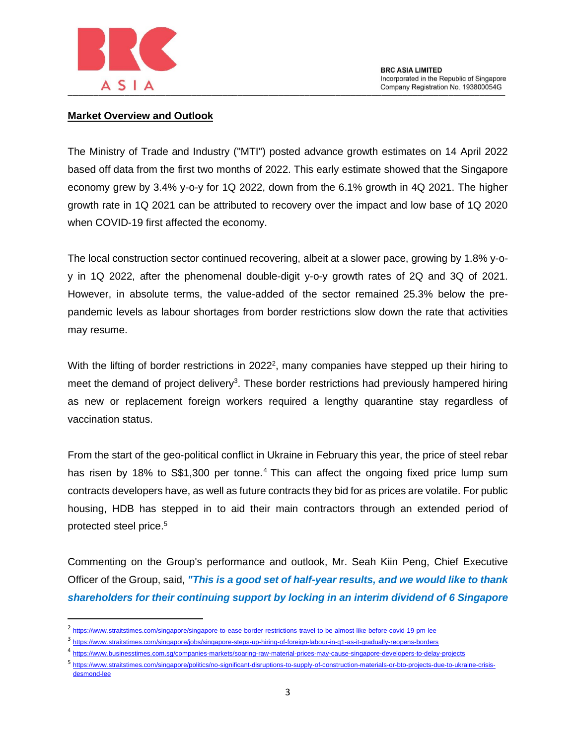

## **Market Overview and Outlook**

The Ministry of Trade and Industry ("MTI") posted advance growth estimates on 14 April 2022 based off data from the first two months of 2022. This early estimate showed that the Singapore economy grew by 3.4% y-o-y for 1Q 2022, down from the 6.1% growth in 4Q 2021. The higher growth rate in 1Q 2021 can be attributed to recovery over the impact and low base of 1Q 2020 when COVID-19 first affected the economy.

The local construction sector continued recovering, albeit at a slower pace, growing by 1.8% y-oy in 1Q 2022, after the phenomenal double-digit y-o-y growth rates of 2Q and 3Q of 2021. However, in absolute terms, the value-added of the sector remained 25.3% below the prepandemic levels as labour shortages from border restrictions slow down the rate that activities may resume.

With the lifting of border restrictions in 2022<sup>2</sup>, many companies have stepped up their hiring to meet the demand of project delivery<sup>3</sup>. These border restrictions had previously hampered hiring as new or replacement foreign workers required a lengthy quarantine stay regardless of vaccination status.

From the start of the geo-political conflict in Ukraine in February this year, the price of steel rebar has risen by 18% to S\$1,300 per tonne.<sup>4</sup> This can affect the ongoing fixed price lump sum contracts developers have, as well as future contracts they bid for as prices are volatile. For public housing, HDB has stepped in to aid their main contractors through an extended period of protected steel price.<sup>5</sup>

Commenting on the Group's performance and outlook, Mr. Seah Kiin Peng, Chief Executive Officer of the Group, said, *"This is a good set of half-year results, and we would like to thank shareholders for their continuing support by locking in an interim dividend of 6 Singapore* 

<sup>2</sup> <https://www.straitstimes.com/singapore/singapore-to-ease-border-restrictions-travel-to-be-almost-like-before-covid-19-pm-lee>

<sup>3&</sup>lt;br><https://www.straitstimes.com/singapore/jobs/singapore-steps-up-hiring-of-foreign-labour-in-q1-as-it-gradually-reopens-borders>

<sup>4</sup> <https://www.businesstimes.com.sg/companies-markets/soaring-raw-material-prices-may-cause-singapore-developers-to-delay-projects>

<sup>5&</sup>lt;br>[https://www.straitstimes.com/singapore/politics/no-significant-disruptions-to-supply-of-construction-materials-or-bto-projects-due-to-ukraine-crisis](https://www.straitstimes.com/singapore/politics/no-significant-disruptions-to-supply-of-construction-materials-or-bto-projects-due-to-ukraine-crisis-desmond-lee)[desmond-lee](https://www.straitstimes.com/singapore/politics/no-significant-disruptions-to-supply-of-construction-materials-or-bto-projects-due-to-ukraine-crisis-desmond-lee)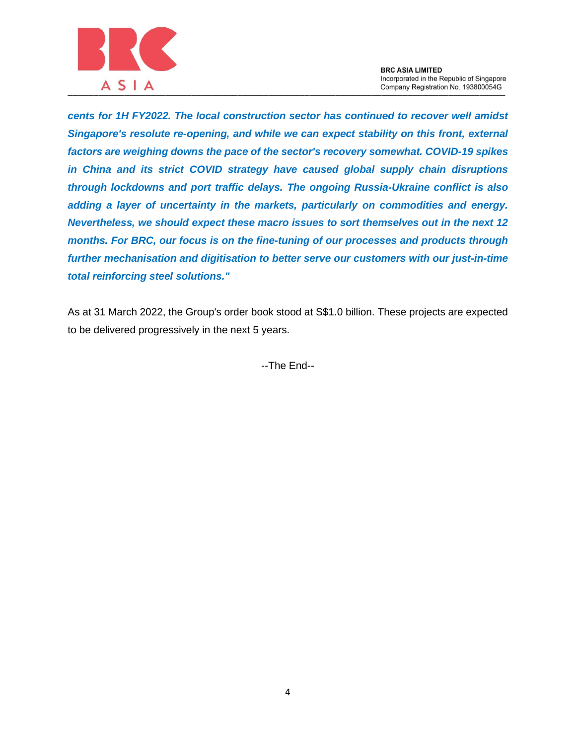

*cents for 1H FY2022. The local construction sector has continued to recover well amidst Singapore's resolute re-opening, and while we can expect stability on this front, external factors are weighing downs the pace of the sector's recovery somewhat. COVID-19 spikes in China and its strict COVID strategy have caused global supply chain disruptions through lockdowns and port traffic delays. The ongoing Russia-Ukraine conflict is also adding a layer of uncertainty in the markets, particularly on commodities and energy. Nevertheless, we should expect these macro issues to sort themselves out in the next 12 months. For BRC, our focus is on the fine-tuning of our processes and products through further mechanisation and digitisation to better serve our customers with our just-in-time total reinforcing steel solutions."*

As at 31 March 2022, the Group's order book stood at S\$1.0 billion. These projects are expected to be delivered progressively in the next 5 years.

--The End--